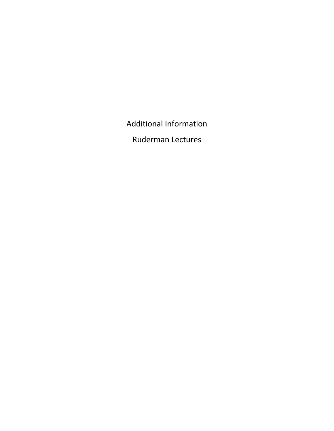Additional Information

Ruderman Lectures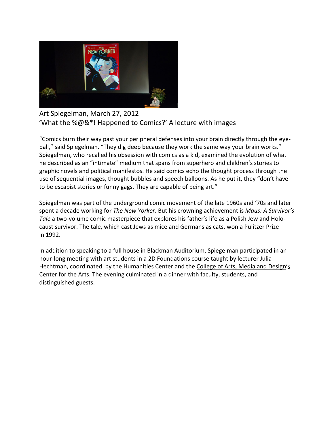

Art Spiegelman, March 27, 2012 'What the %@&\*! Happened to Comics?' A lecture with images

"Comics burn their way past your peripheral defenses into your brain directly through the eyeball," said Spiegelman. "They dig deep because they work the same way your brain works." Spiegelman, who recalled his obsession with comics as a kid, examined the evolution of what he described as an "intimate" medium that spans from superhero and children's stories to graphic novels and political manifestos. He said comics echo the thought process through the use of sequential images, thought bubbles and speech balloons. As he put it, they "don't have to be escapist stories or funny gags. They are capable of being art."

Spiegelman was part of the underground comic movement of the late 1960s and '70s and later spent a decade working for *The New Yorker*. But his crowning achievement is *Maus: A Survivor's Tale* a two-volume comic masterpiece that explores his father's life as a Polish Jew and Holocaust survivor. The tale, which cast Jews as mice and Germans as cats, won a Pulitzer Prize in 1992.

In addition to speaking to a full house in Blackman Auditorium, Spiegelman participated in an hour-long meeting with art students in a 2D Foundations course taught by lecturer Julia Hechtman, coordinated by the Humanities Center and the [College of Arts, Media and Design'](http://www.northeastern.edu/camd/)s Center for the Arts. The evening culminated in a dinner with faculty, students, and distinguished guests.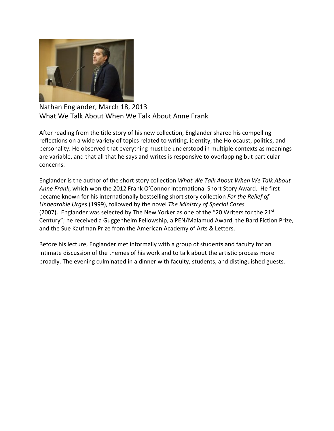

Nathan Englander, March 18, 2013 What We Talk About When We Talk About Anne Frank

After reading from the title story of his new collection, Englander shared his compelling reflections on a wide variety of topics related to writing, identity, the Holocaust, politics, and personality. He observed that everything must be understood in multiple contexts as meanings are variable, and that all that he says and writes is responsive to overlapping but particular concerns.

Englander is the author of the short story collection *What We Talk About When We Talk About Anne Frank*, which won the 2012 Frank O'Connor International Short Story Award. He first became known for his internationally bestselling short story collection *For the Relief of Unbearable Urges* (1999), followed by the novel *The Ministry of Special Cases*  (2007). Englander was selected by The New Yorker as one of the "20 Writers for the  $21^{st}$ Century"; he received a Guggenheim Fellowship, a PEN/Malamud Award, the Bard Fiction Prize, and the Sue Kaufman Prize from the American Academy of Arts & Letters.

Before his lecture, Englander met informally with a group of students and faculty for an intimate discussion of the themes of his work and to talk about the artistic process more broadly. The evening culminated in a dinner with faculty, students, and distinguished guests.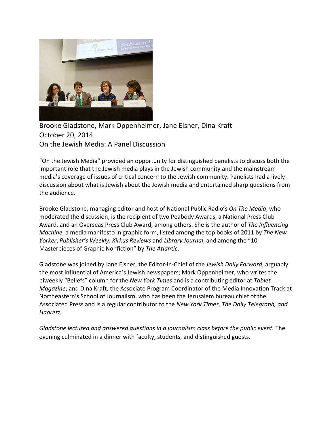

Brooke Gladstone, Mark Oppenheimer, Jane Eisner, Dina Kraft October 20, 2014 On the Jewish Media: A Panel Discussion

"On the Jewish Media" provided an opportunity for distinguished panelists to discuss both the important role that the Jewish media plays in the Jewish community and the mainstream media's coverage of issues of critical concern to the Jewish community. Panelists had a lively discussion about what is Jewish about the Jewish media and entertained sharp questions from the audience.

Brooke Gladstone, managing editor and host of National Public Radio's *On The Media*, who moderated the discussion, is the recipient of two Peabody Awards, a National Press Club Award, and an Overseas Press Club Award, among others. She is the author of *The Influencing Machine*, a media manifesto in graphic form, listed among the top books of 2011 by *The New Yorker*, *Publisher's Weekly*, *Kirkus Reviews* and *Library Journal*, and among the "10 Masterpieces of Graphic Nonfiction" by *The Atlantic*.

Gladstone was joined by Jane Eisner, the Editor-in-Chief of the *Jewish Daily Forward*, arguably the most influential of America's Jewish newspapers; Mark Oppenheimer, who writes the biweekly "Beliefs" column for the *New York Times* and is a contributing editor at *Tablet Magazine*; and Dina Kraft, the Associate Program Coordinator of the Media Innovation Track at Northeastern's School of Journalism, who has been the Jerusalem bureau chief of the Associated Press and is a regular contributor to the *New York Times, The Daily Telegraph, and Haaretz.*

*Gladstone lectured and answered questions in a journalism class before the public event.* The evening culminated in a dinner with faculty, students, and distinguished guests.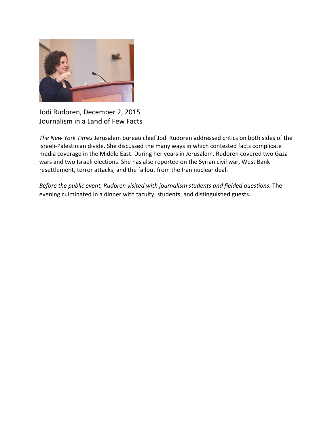

Jodi Rudoren, December 2, 2015 Journalism in a Land of Few Facts

*The New York Times* Jerusalem bureau chief Jodi Rudoren addressed critics on both sides of the Israeli-Palestinian divide. She discussed the many ways in which contested facts complicate media coverage in the Middle East. During her years in Jerusalem, Rudoren covered two Gaza wars and two Israeli elections. She has also reported on the Syrian civil war, West Bank resettlement, terror attacks, and the fallout from the Iran nuclear deal.

*Before the public event, Rudoren visited with journalism students and fielded questions.* The evening culminated in a dinner with faculty, students, and distinguished guests.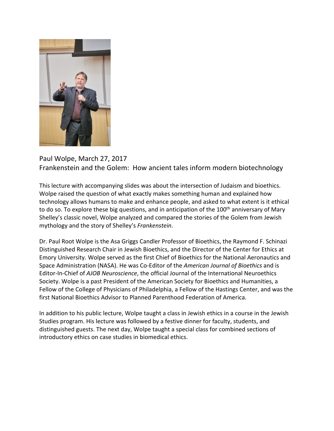

## Paul Wolpe, March 27, 2017 Frankenstein and the Golem: How ancient tales inform modern biotechnology

This lecture with accompanying slides was about the intersection of Judaism and bioethics. Wolpe raised the question of what exactly makes something human and explained how technology allows humans to make and enhance people, and asked to what extent is it ethical to do so. To explore these big questions, and in anticipation of the 100<sup>th</sup> anniversary of Mary Shelley's classic novel, Wolpe analyzed and compared the stories of the Golem from Jewish mythology and the story of Shelley's *Frankenstein*.

Dr. Paul Root Wolpe is the Asa Griggs Candler Professor of Bioethics, the Raymond F. Schinazi Distinguished Research Chair in Jewish Bioethics, and the Director of the Center for Ethics at Emory University. Wolpe served as the first Chief of Bioethics for the National Aeronautics and Space Administration (NASA). He was Co-Editor of the *American Journal of Bioethics* and is Editor-In-Chief of *AJOB Neuroscience*, the official Journal of the International Neuroethics Society. Wolpe is a past President of the American Society for Bioethics and Humanities, a Fellow of the College of Physicians of Philadelphia, a Fellow of the Hastings Center, and was the first National Bioethics Advisor to Planned Parenthood Federation of America.

In addition to his public lecture, Wolpe taught a class in Jewish ethics in a course in the Jewish Studies program. His lecture was followed by a festive dinner for faculty, students, and distinguished guests. The next day, Wolpe taught a special class for combined sections of introductory ethics on case studies in biomedical ethics.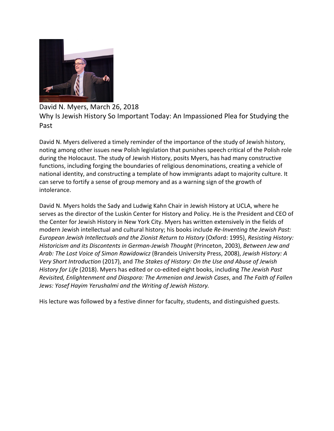

## David N. Myers, March 26, 2018 Why Is Jewish History So Important Today: An Impassioned Plea for Studying the Past

David N. Myers delivered a timely reminder of the importance of the study of Jewish history, noting among other issues new Polish legislation that punishes speech critical of the Polish role during the Holocaust. The study of Jewish History, posits Myers, has had many constructive functions, including forging the boundaries of religious denominations, creating a vehicle of national identity, and constructing a template of how immigrants adapt to majority culture. It can serve to fortify a sense of group memory and as a warning sign of the growth of intolerance.

David N. Myers holds the Sady and Ludwig Kahn Chair in Jewish History at UCLA, where he serves as the director of the Luskin Center for History and Policy. He is the President and CEO of the Center for Jewish History in New York City. Myers has written extensively in the fields of modern Jewish intellectual and cultural history; his books include *Re-Inventing the Jewish Past: European Jewish Intellectuals and the Zionist Return to History* (Oxford: 1995), *Resisting History: Historicism and its Discontents in German-Jewish Thought* (Princeton, 2003), *Between Jew and Arab: The Lost Voice of Simon Rawidowicz* (Brandeis University Press, 2008), *Jewish History: A Very Short Introduction* (2017), and *The Stakes of History: On the Use and Abuse of Jewish History for Life* (2018). Myers has edited or co-edited eight books, including *The Jewish Past Revisited, Enlightenment and Diaspora: The Armenian and Jewish Cases*, and *The Faith of Fallen Jews: Yosef Hayim Yerushalmi and the Writing of Jewish History.*

His lecture was followed by a festive dinner for faculty, students, and distinguished guests.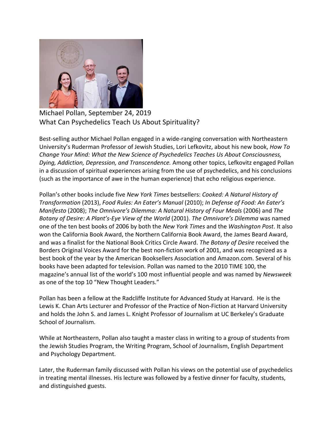

Michael Pollan, September 24, 2019 What Can Psychedelics Teach Us About Spirituality?

Best-selling author Michael Pollan engaged in a wide-ranging conversation with Northeastern University's Ruderman Professor of Jewish Studies, Lori Lefkovitz, about his new book, *How To Change Your Mind: What the New Science of Psychedelics Teaches Us About Consciousness, Dying, Addiction, Depression, and Transcendence.* Among other topics, Lefkovitz engaged Pollan in a discussion of spiritual experiences arising from the use of psychedelics, and his conclusions (such as the importance of awe in the human experience) that echo religious experience.

Pollan's other books include five *New York Times* bestsellers: *Cooked: A Natural History of Transformation* (2013), *Food Rules: An Eater's Manual* (2010); *In Defense of Food: An Eater's Manifesto* (2008); *The Omnivore's Dilemma: A Natural History of Four Meals* (2006) and *The Botany of Desire: A Plant's-Eye View of the World* (2001). *The Omnivore's Dilemma* was named one of the ten best books of 2006 by both the *New York Times* and the *Washington Post*. It also won the California Book Award, the Northern California Book Award, the James Beard Award, and was a finalist for the National Book Critics Circle Award. *The Botany of Desire* received the Borders Original Voices Award for the best non-fiction work of 2001, and was recognized as a best book of the year by the American Booksellers Association and Amazon.com. Several of his books have been adapted for television. Pollan was named to the 2010 TIME 100, the magazine's annual list of the world's 100 most influential people and was named by *Newsweek* as one of the top 10 "New Thought Leaders."

Pollan has been a fellow at the Radcliffe Institute for Advanced Study at Harvard. He is the Lewis K. Chan Arts Lecturer and Professor of the Practice of Non-Fiction at Harvard University and holds the John S. and James L. Knight Professor of Journalism at UC Berkeley's Graduate School of Journalism.

While at Northeastern, Pollan also taught a master class in writing to a group of students from the Jewish Studies Program, the Writing Program, School of Journalism, English Department and Psychology Department.

Later, the Ruderman family discussed with Pollan his views on the potential use of psychedelics in treating mental illnesses. His lecture was followed by a festive dinner for faculty, students, and distinguished guests.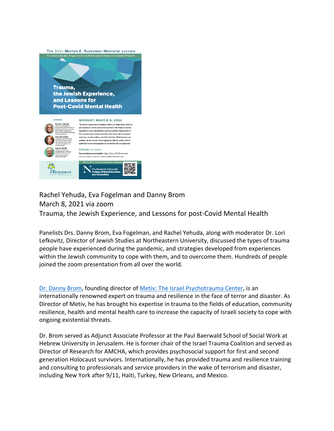

## Rachel Yehuda, Eva Fogelman and Danny Brom March 8, 2021 via zoom Trauma, the Jewish Experience, and Lessons for post-Covid Mental Health

Panelists Drs. Danny Brom, Eva Fogelman, and Rachel Yehuda, along with moderator Dr. Lori Lefkovitz, Director of Jewish Studies at Northeastern University, discussed the types of trauma people have experienced during the pandemic, and strategies developed from experiences within the Jewish community to cope with them, and to overcome them. Hundreds of people joined the zoom presentation from all over the world.

[Dr. Danny Brom,](https://metiv.org/our-team/danny-brom-2/) founding director of [Metiv: The Israel Psychotrauma Center,](https://metiv.org/) is an internationally renowned expert on trauma and resilience in the face of terror and disaster. As Director of Metiv, he has brought his expertise in trauma to the fields of education, community resilience, health and mental health care to increase the capacity of Israeli society to cope with ongoing existential threats.

Dr. Brom served as Adjunct Associate Professor at the Paul Baerwald School of Social Work at Hebrew University in Jerusalem. He is former chair of the Israel Trauma Coalition and served as Director of Research for AMCHA, which provides psychosocial support for first and second generation Holocaust survivors. Internationally, he has provided trauma and resilience training and consulting to professionals and service providers in the wake of terrorism and disaster, including New York after 9/11, Haiti, Turkey, New Orleans, and Mexico.